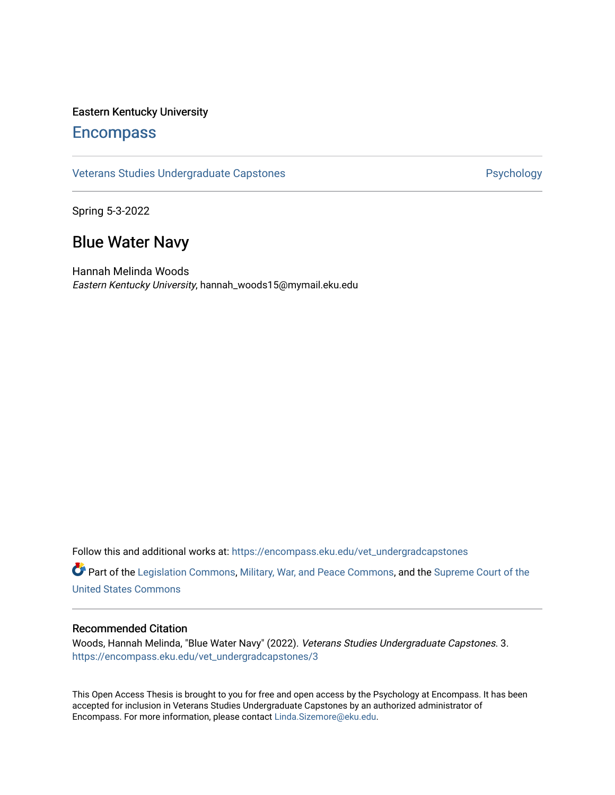## Eastern Kentucky University

# **Encompass**

[Veterans Studies Undergraduate Capstones](https://encompass.eku.edu/vet_undergradcapstones) **Provides** Psychology

Spring 5-3-2022

# Blue Water Navy

Hannah Melinda Woods Eastern Kentucky University, hannah\_woods15@mymail.eku.edu

Follow this and additional works at: [https://encompass.eku.edu/vet\\_undergradcapstones](https://encompass.eku.edu/vet_undergradcapstones?utm_source=encompass.eku.edu%2Fvet_undergradcapstones%2F3&utm_medium=PDF&utm_campaign=PDFCoverPages)

Part of the [Legislation Commons](https://network.bepress.com/hgg/discipline/859?utm_source=encompass.eku.edu%2Fvet_undergradcapstones%2F3&utm_medium=PDF&utm_campaign=PDFCoverPages), [Military, War, and Peace Commons](https://network.bepress.com/hgg/discipline/861?utm_source=encompass.eku.edu%2Fvet_undergradcapstones%2F3&utm_medium=PDF&utm_campaign=PDFCoverPages), and the [Supreme Court of the](https://network.bepress.com/hgg/discipline/1350?utm_source=encompass.eku.edu%2Fvet_undergradcapstones%2F3&utm_medium=PDF&utm_campaign=PDFCoverPages) [United States Commons](https://network.bepress.com/hgg/discipline/1350?utm_source=encompass.eku.edu%2Fvet_undergradcapstones%2F3&utm_medium=PDF&utm_campaign=PDFCoverPages) 

### Recommended Citation

Woods, Hannah Melinda, "Blue Water Navy" (2022). Veterans Studies Undergraduate Capstones. 3. [https://encompass.eku.edu/vet\\_undergradcapstones/3](https://encompass.eku.edu/vet_undergradcapstones/3?utm_source=encompass.eku.edu%2Fvet_undergradcapstones%2F3&utm_medium=PDF&utm_campaign=PDFCoverPages) 

This Open Access Thesis is brought to you for free and open access by the Psychology at Encompass. It has been accepted for inclusion in Veterans Studies Undergraduate Capstones by an authorized administrator of Encompass. For more information, please contact [Linda.Sizemore@eku.edu.](mailto:Linda.Sizemore@eku.edu)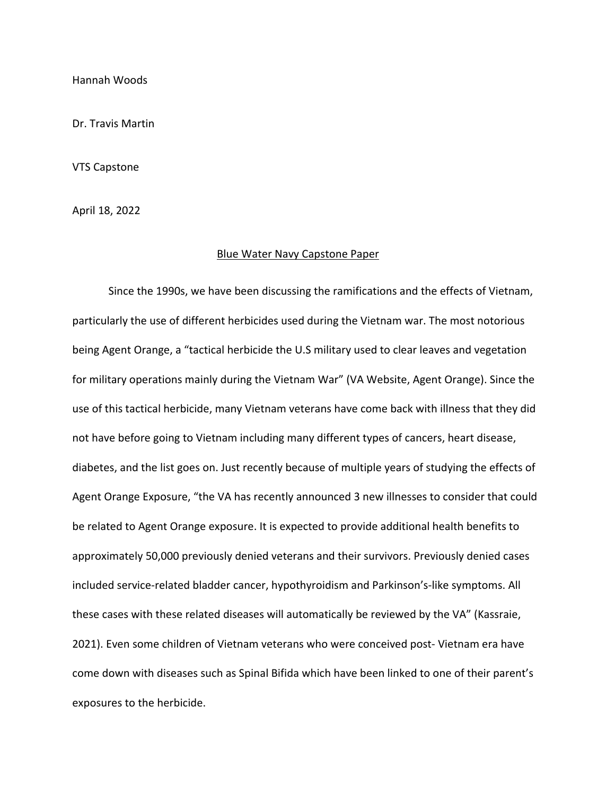Hannah Woods

Dr. Travis Martin

VTS Capstone

April 18, 2022

#### Blue Water Navy Capstone Paper

Since the 1990s, we have been discussing the ramifications and the effects of Vietnam, particularly the use of different herbicides used during the Vietnam war. The most notorious being Agent Orange, a "tactical herbicide the U.S military used to clear leaves and vegetation for military operations mainly during the Vietnam War" (VA Website, Agent Orange). Since the use of this tactical herbicide, many Vietnam veterans have come back with illness that they did not have before going to Vietnam including many different types of cancers, heart disease, diabetes, and the list goes on. Just recently because of multiple years of studying the effects of Agent Orange Exposure, "the VA has recently announced 3 new illnesses to consider that could be related to Agent Orange exposure. It is expected to provide additional health benefits to approximately 50,000 previously denied veterans and their survivors. Previously denied cases included service-related bladder cancer, hypothyroidism and Parkinson's-like symptoms. All these cases with these related diseases will automatically be reviewed by the VA" (Kassraie, 2021). Even some children of Vietnam veterans who were conceived post- Vietnam era have come down with diseases such as Spinal Bifida which have been linked to one of their parent's exposures to the herbicide.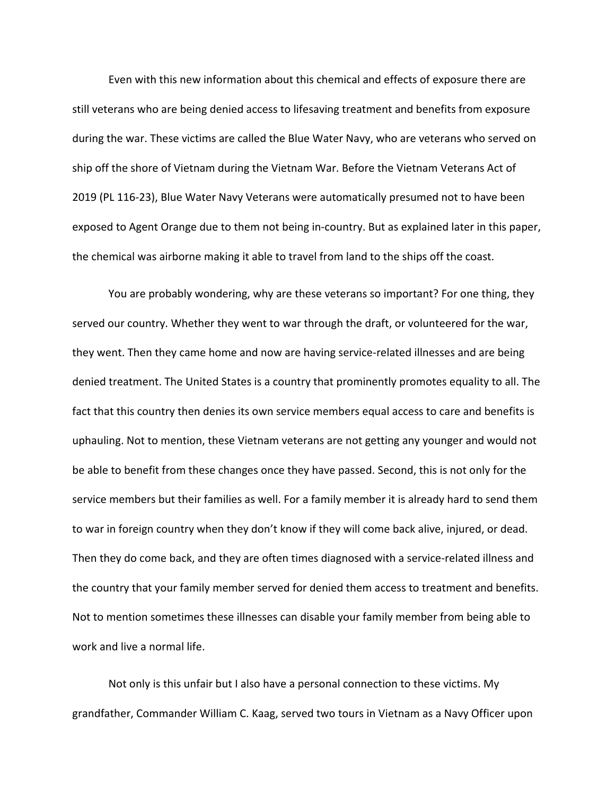Even with this new information about this chemical and effects of exposure there are still veterans who are being denied access to lifesaving treatment and benefits from exposure during the war. These victims are called the Blue Water Navy, who are veterans who served on ship off the shore of Vietnam during the Vietnam War. Before the Vietnam Veterans Act of 2019 (PL 116-23), Blue Water Navy Veterans were automatically presumed not to have been exposed to Agent Orange due to them not being in-country. But as explained later in this paper, the chemical was airborne making it able to travel from land to the ships off the coast.

You are probably wondering, why are these veterans so important? For one thing, they served our country. Whether they went to war through the draft, or volunteered for the war, they went. Then they came home and now are having service-related illnesses and are being denied treatment. The United States is a country that prominently promotes equality to all. The fact that this country then denies its own service members equal access to care and benefits is uphauling. Not to mention, these Vietnam veterans are not getting any younger and would not be able to benefit from these changes once they have passed. Second, this is not only for the service members but their families as well. For a family member it is already hard to send them to war in foreign country when they don't know if they will come back alive, injured, or dead. Then they do come back, and they are often times diagnosed with a service-related illness and the country that your family member served for denied them access to treatment and benefits. Not to mention sometimes these illnesses can disable your family member from being able to work and live a normal life.

Not only is this unfair but I also have a personal connection to these victims. My grandfather, Commander William C. Kaag, served two tours in Vietnam as a Navy Officer upon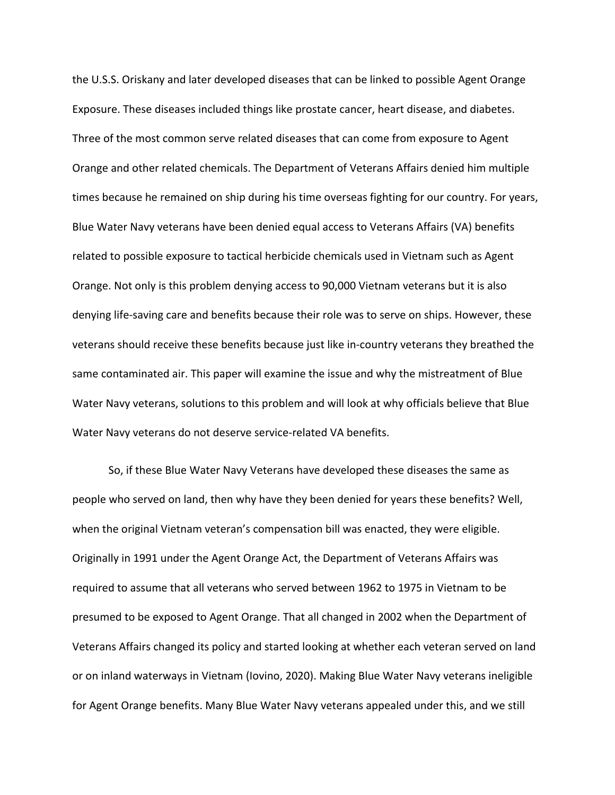the U.S.S. Oriskany and later developed diseases that can be linked to possible Agent Orange Exposure. These diseases included things like prostate cancer, heart disease, and diabetes. Three of the most common serve related diseases that can come from exposure to Agent Orange and other related chemicals. The Department of Veterans Affairs denied him multiple times because he remained on ship during his time overseas fighting for our country. For years, Blue Water Navy veterans have been denied equal access to Veterans Affairs (VA) benefits related to possible exposure to tactical herbicide chemicals used in Vietnam such as Agent Orange. Not only is this problem denying access to 90,000 Vietnam veterans but it is also denying life-saving care and benefits because their role was to serve on ships. However, these veterans should receive these benefits because just like in-country veterans they breathed the same contaminated air. This paper will examine the issue and why the mistreatment of Blue Water Navy veterans, solutions to this problem and will look at why officials believe that Blue Water Navy veterans do not deserve service-related VA benefits.

So, if these Blue Water Navy Veterans have developed these diseases the same as people who served on land, then why have they been denied for years these benefits? Well, when the original Vietnam veteran's compensation bill was enacted, they were eligible. Originally in 1991 under the Agent Orange Act, the Department of Veterans Affairs was required to assume that all veterans who served between 1962 to 1975 in Vietnam to be presumed to be exposed to Agent Orange. That all changed in 2002 when the Department of Veterans Affairs changed its policy and started looking at whether each veteran served on land or on inland waterways in Vietnam (Iovino, 2020). Making Blue Water Navy veterans ineligible for Agent Orange benefits. Many Blue Water Navy veterans appealed under this, and we still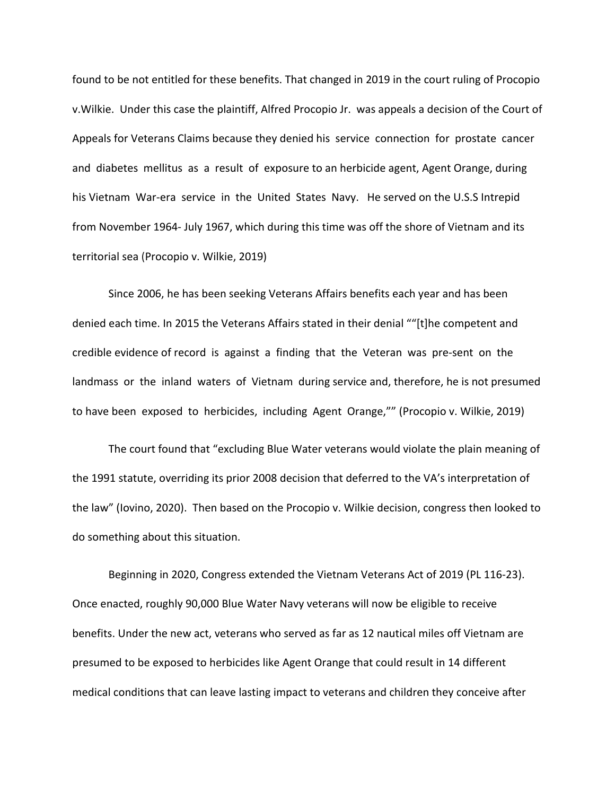found to be not entitled for these benefits. That changed in 2019 in the court ruling of Procopio v.Wilkie. Under this case the plaintiff, Alfred Procopio Jr. was appeals a decision of the Court of Appeals for Veterans Claims because they denied his service connection for prostate cancer and diabetes mellitus as a result of exposure to an herbicide agent, Agent Orange, during his Vietnam War-era service in the United States Navy. He served on the U.S.S Intrepid from November 1964- July 1967, which during this time was off the shore of Vietnam and its territorial sea (Procopio v. Wilkie, 2019)

Since 2006, he has been seeking Veterans Affairs benefits each year and has been denied each time. In 2015 the Veterans Affairs stated in their denial ""[t]he competent and credible evidence of record is against a finding that the Veteran was pre-sent on the landmass or the inland waters of Vietnam during service and, therefore, he is not presumed to have been exposed to herbicides, including Agent Orange,"" (Procopio v. Wilkie, 2019)

The court found that "excluding Blue Water veterans would violate the plain meaning of the 1991 statute, overriding its prior 2008 decision that deferred to the VA's interpretation of the law" (Iovino, 2020). Then based on the Procopio v. Wilkie decision, congress then looked to do something about this situation.

Beginning in 2020, Congress extended the Vietnam Veterans Act of 2019 (PL 116-23). Once enacted, roughly 90,000 Blue Water Navy veterans will now be eligible to receive benefits. Under the new act, veterans who served as far as 12 nautical miles off Vietnam are presumed to be exposed to herbicides like Agent Orange that could result in 14 different medical conditions that can leave lasting impact to veterans and children they conceive after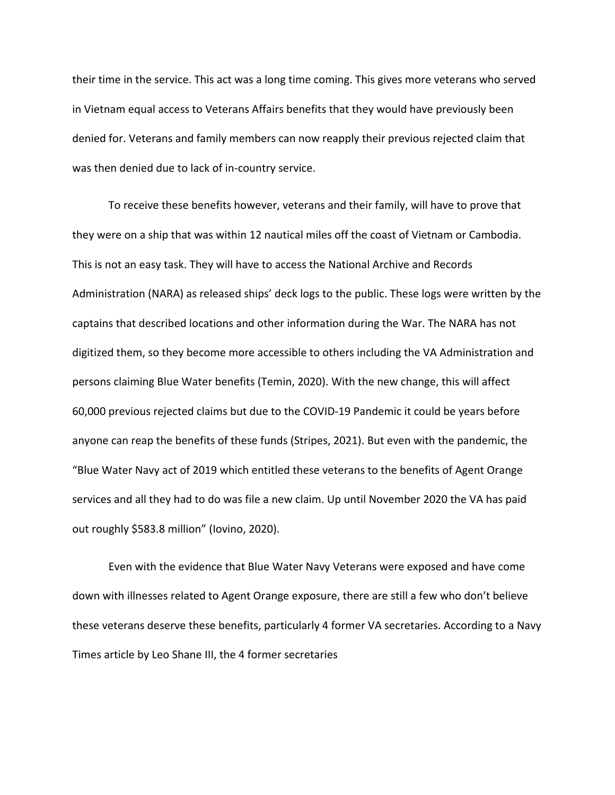their time in the service. This act was a long time coming. This gives more veterans who served in Vietnam equal access to Veterans Affairs benefits that they would have previously been denied for. Veterans and family members can now reapply their previous rejected claim that was then denied due to lack of in-country service.

To receive these benefits however, veterans and their family, will have to prove that they were on a ship that was within 12 nautical miles off the coast of Vietnam or Cambodia. This is not an easy task. They will have to access the National Archive and Records Administration (NARA) as released ships' deck logs to the public. These logs were written by the captains that described locations and other information during the War. The NARA has not digitized them, so they become more accessible to others including the VA Administration and persons claiming Blue Water benefits (Temin, 2020). With the new change, this will affect 60,000 previous rejected claims but due to the COVID-19 Pandemic it could be years before anyone can reap the benefits of these funds (Stripes, 2021). But even with the pandemic, the "Blue Water Navy act of 2019 which entitled these veterans to the benefits of Agent Orange services and all they had to do was file a new claim. Up until November 2020 the VA has paid out roughly \$583.8 million" (Iovino, 2020).

Even with the evidence that Blue Water Navy Veterans were exposed and have come down with illnesses related to Agent Orange exposure, there are still a few who don't believe these veterans deserve these benefits, particularly 4 former VA secretaries. According to a Navy Times article by Leo Shane III, the 4 former secretaries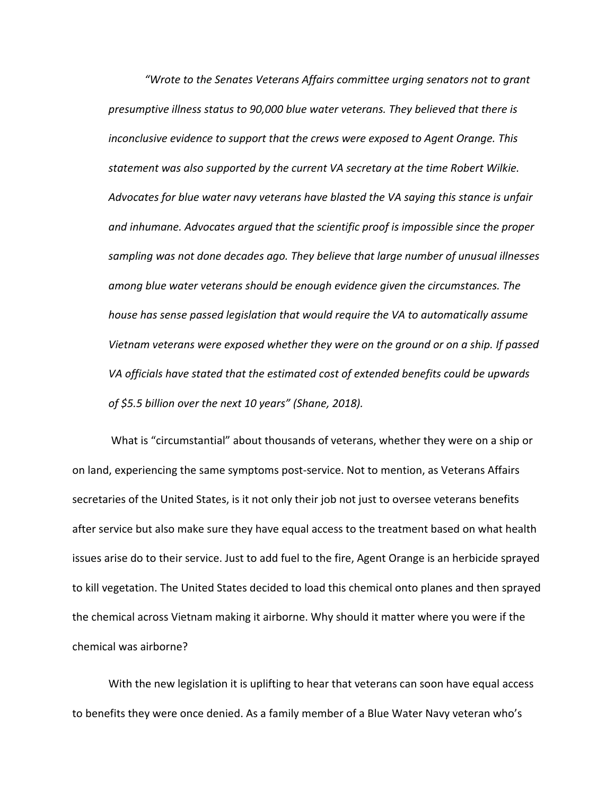*"Wrote to the Senates Veterans Affairs committee urging senators not to grant presumptive illness status to 90,000 blue water veterans. They believed that there is inconclusive evidence to support that the crews were exposed to Agent Orange. This statement was also supported by the current VA secretary at the time Robert Wilkie. Advocates for blue water navy veterans have blasted the VA saying this stance is unfair and inhumane. Advocates argued that the scientific proof is impossible since the proper sampling was not done decades ago. They believe that large number of unusual illnesses among blue water veterans should be enough evidence given the circumstances. The house has sense passed legislation that would require the VA to automatically assume Vietnam veterans were exposed whether they were on the ground or on a ship. If passed VA officials have stated that the estimated cost of extended benefits could be upwards of \$5.5 billion over the next 10 years" (Shane, 2018).*

What is "circumstantial" about thousands of veterans, whether they were on a ship or on land, experiencing the same symptoms post-service. Not to mention, as Veterans Affairs secretaries of the United States, is it not only their job not just to oversee veterans benefits after service but also make sure they have equal access to the treatment based on what health issues arise do to their service. Just to add fuel to the fire, Agent Orange is an herbicide sprayed to kill vegetation. The United States decided to load this chemical onto planes and then sprayed the chemical across Vietnam making it airborne. Why should it matter where you were if the chemical was airborne?

With the new legislation it is uplifting to hear that veterans can soon have equal access to benefits they were once denied. As a family member of a Blue Water Navy veteran who's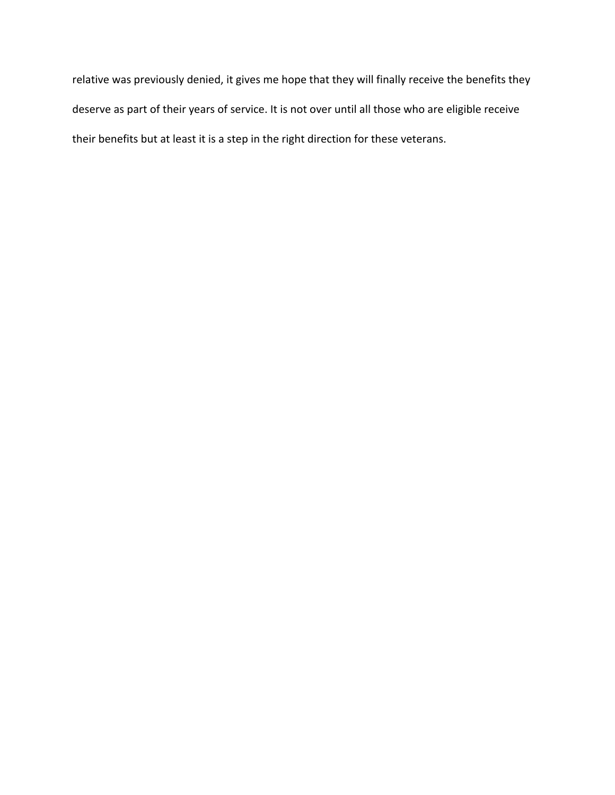relative was previously denied, it gives me hope that they will finally receive the benefits they deserve as part of their years of service. It is not over until all those who are eligible receive their benefits but at least it is a step in the right direction for these veterans.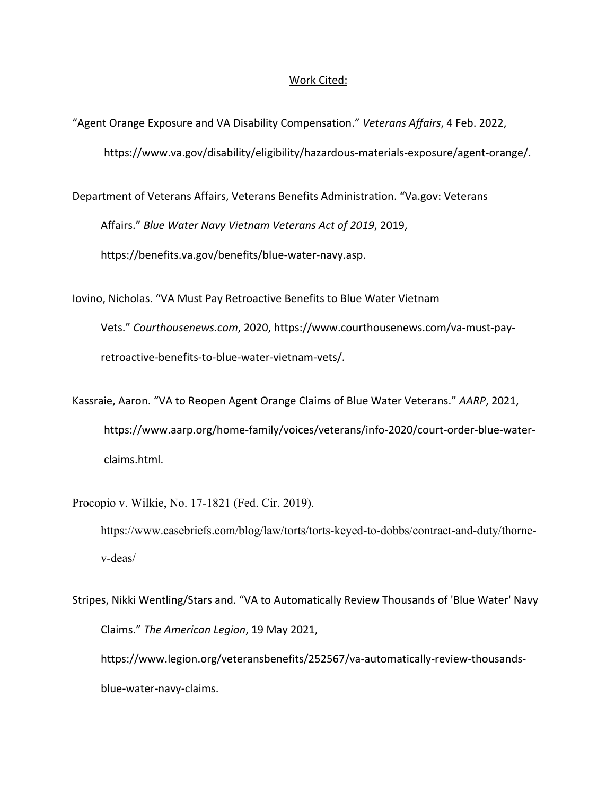#### Work Cited:

"Agent Orange Exposure and VA Disability Compensation." *Veterans Affairs*, 4 Feb. 2022, [https://www.va.gov/disability/eligibility/hazardous-materials-exposure/agent-orange/.](https://www.va.gov/disability/eligibility/hazardous-materials-exposure/agent-orange/)

Department of Veterans Affairs, Veterans Benefits Administration. "Va.gov: Veterans Affairs." *Blue Water Navy Vietnam Veterans Act of 2019*, 2019, <https://benefits.va.gov/benefits/blue-water-navy.asp>.

Iovino, Nicholas. "VA Must Pay Retroactive Benefits to Blue Water Vietnam Vets." *Courthousenews.com*[, 2020, https://www.courthousenews.com/va-must-pay](https://www.courthousenews.com/va-must-pay-retroactive-benefits-to-blue-water-vietnam-vets/)retroactive-benefits-to-blue-water-vietnam-vets/.

Kassraie, Aaron. "VA to Reopen Agent Orange Claims of Blue Water Veterans." *AARP*, 2021, [https://www.aarp.org/home-family/voices/veterans/info-2020/court-order-blue-water](https://www.aarp.org/home-family/voices/veterans/info-2020/court-order-blue-water-claims.html)claims.html.

Procopio v. Wilkie, No. 17-1821 (Fed. Cir. 2019). [https://www.casebriefs.com/blog/law/torts/torts-keyed-to-dobbs/contract-and-duty/thorne](https://www.casebriefs.com/blog/law/torts/torts-keyed-to-dobbs/contract-and-duty/thorne-v-deas/)v-deas/

Stripes, Nikki Wentling/Stars and. "VA to Automatically Review Thousands of 'Blue Water' Navy Claims." *The American Legion*, 19 May 2021, [https://www.legion.org/veteransbenefits/252567/va-automatically-review-thousands](https://www.legion.org/veteransbenefits/252567/va-automatically-review-thousands-blue-water-navy-claims)blue-water-navy-claims.